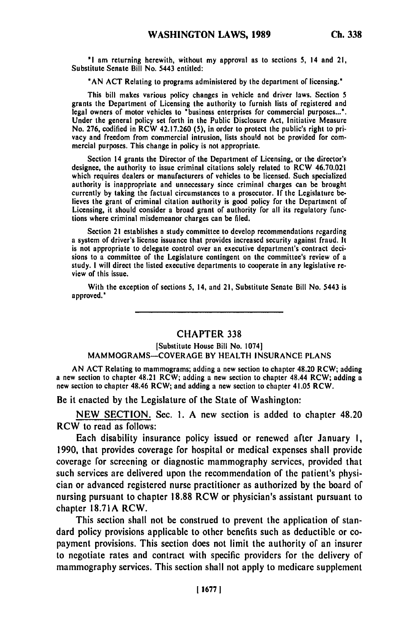**"I** am returning herewith, without my approval as to sections **5,** 14 and 21, Substitute Senate Bill No. 5443 entitled:

**"AN ACT** Relating to programs administered **by** the department of licensing."

This bill makes various policy changes in vehicle and driver laws. Section 5 grants the Department of Licensing the authority to furnish lists of registered and<br>legal of motor vehicles to the motor vehicles to the motor vehicle states for commercial purposes... legal owners of motor vehicles to "business enterprises for commercial purposes...".<br>Under the general policy set forth in the Public Disclosure Act, Initiative Measure No. **276,** codified in RCW 42.17.260 **(5),** in order to protect the public's right to privacus and freedom from commercial intrusion, lists should not be provided for comvacy and freedom from commercial intrusion, fists should

Section 14 grants the Director of the Department of Licensing, or the director's designee, the authority to issue criminal citations solely related to RCW 46.70.021 which requires dealers or manufacturers of vehicles to **be** licensed. Such specialized authority is inappropriate and unnecessary since criminal charges can be brought currently **by** taking the factual circumstances to a prosecutor. **If** the Legislature **be**currently by taxing the factual circumstances to a prosecutor. If the Legislature beneves the grant of criminal chatton authority is good policy for the Department of Licensing, it should consider a broad grant of authority for all its regulatory functions where criminal misdemeanor charges can be filed.

Section 21 establishes a study committee to develop recommendations regarding a system of driver's license issuance that provides increased security against fraud. It is not appropriate to delegate control over an executive department's contract decisions to a committee of the Legislature contingent on the committee's review **of** a study. **I** will direct the listed executive departments to cooperate in any legislative **re**view of this issue.

With the exception **of** sections **5,** 14, and 21, Substitute Senate Bill No. 5443 is approved."

## CHAPTER **338**

## [Substitute House Bill No. 1074] MAMMOGRAMS-COVERAGE BY HEALTH **INSURANCE PLANS**

**AN ACT** Relating to mammograms; adding a new section to chapter 48.20 RCW; adding a new section to chapter 48.21 RCW; adding a new section to chapter 48.44 RCW; adding a new section to chapter 48.46 RCW; and adding a new section to chapter 41.05 RCW.

Be it enacted **by** the Legislature of the State of Washington:

**NEW SECTION.** Sec. **1. A** new section is added to chapter 48.20 RCW to read as follows:

Each disability insurance policy issued or renewed after January **I, 1990,** that provides coverage for hospital or medical expenses shall provide coverage for screening or diagnostic mammography services, provided that such services are delivered upon the recommendation of the patient's physician or advanced registered nurse practitioner as authorized **by** the board of nursing pursuant to chapter **18.88** RCW or physician's assistant pursuant to chapter **18.71A** RCW.

This section shall not be construed to prevent the application of standard policy provisions applicable to other benefits such as deductible or copayment provisions. This section does not limit the authority of an insurer to negotiate rates and contract with specific providers for the delivery of mammography services. This section shall not apply to medicare supplement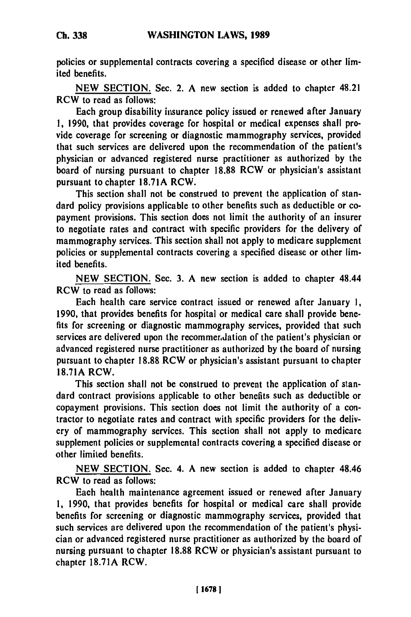policies or supplemental contracts covering a specified disease or other limited benefits.

**NEW SECTION.** Sec. 2. **A** new section is added to chapter 48.21 RCW to read as follows:

Each group disability insurance policy issued or renewed after January **1, 1990,** that provides coverage for hospital or medical expenses shall provide coverage for screening or diagnostic mammography services, provided that such services are delivered upon the recommendation of the patient's physician or advanced registered nurse practitioner as authorized **by** the board of nursing pursuant to chapter **18.88** RCW or physician's assistant pursuant to chapter **18.71A** RCW.

This section shall not be construed to prevent the application **of** standard policy provisions applicable to other benefits such as deductible or copayment provisions. This section does not limit the authority of an insurer to negotiate rates and contract with specific providers for the delivery **of** mammography services. This section shall not apply to medicare supplement policies or supplemental contracts covering a specified disease or other limited benefits.

**NEW SECTION.** Sec. **3. A** new section is added to chapter 48.44 RCW to read as follows:

Each health care service contract issued or renewed after January **1, 1990,** that provides benefits for hospital or medical care shall provide **bene**fits for screening or diagnostic mammography services, provided that such services are delivered upon the recommerdation of the patient's physician or advanced registered nurse practitioner as authorized **by** the board of nursing pursuant to chapter **18.88** RCW or physician's assistant pursuant to chapter **18.71A** RCW.

This section shall not be construed to prevent the application of standard contract provisions applicable to other benefits such as deductible or copayment provisions. This section does not limit the authority of a contractor to negotiate rates and contract with specific providers for the delivery of mammography services. This section shall not apply to medicare supplement policies or supplemental contracts covering a specified disease or other limited benefits.

**NEW SECTION.** Sec. 4. **A** new section is added to chapter 48.46 RCW to read as follows:

Each health maintenance agreement issued or renewed after January **1, 1990,** that provides benefits for hospital or medical care shall provide benefits for screening or diagnostic mammography services, provided that such services are delivered upon the recommendation of the patient's physician or advanced registered nurse practitioner as authorized **by** the board of nursing pursuant to chapter **18.88** RCW or physician's assistant pursuant to chapter **18.71A** RCW.

**Ch. 338**